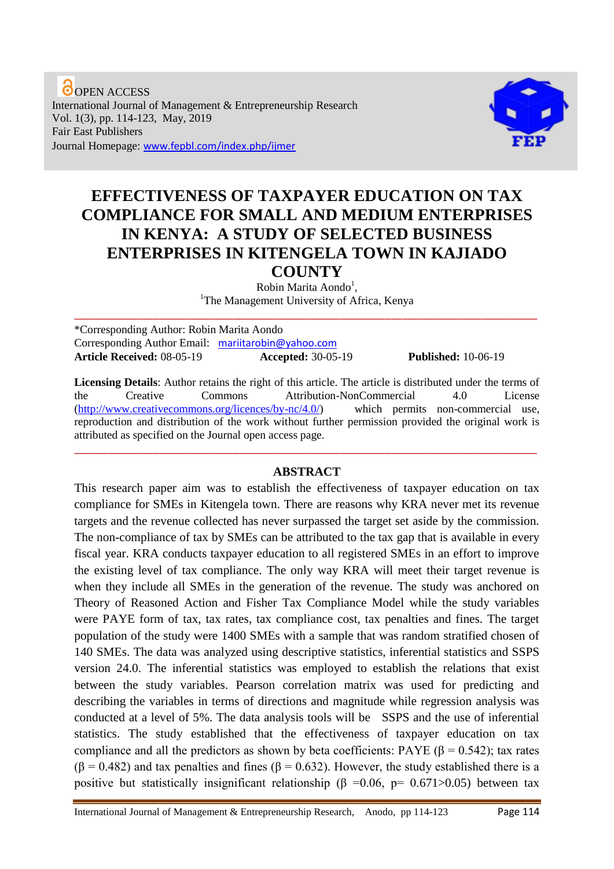**O**OPEN ACCESS International Journal of Management & Entrepreneurship Research Vol. 1(3), pp. 114-123, May, 2019 Fair East Publishers Journal Homepage: www.fepbl.com/index.php/ijmer



# **EFFECTIVENESS OF TAXPAYER EDUCATION ON TAX COMPLIANCE FOR SMALL AND MEDIUM ENTERPRISES IN KENYA: A STUDY OF SELECTED BUSINESS ENTERPRISES IN KITENGELA TOWN IN KAJIADO COUNTY**

Robin Marita Aondo<sup>1</sup>,

<sup>1</sup>The Management University of Africa, Kenya \_\_\_\_\_\_\_\_\_\_\_\_\_\_\_\_\_\_\_\_\_\_\_\_\_\_\_\_\_\_\_\_\_\_\_\_\_\_\_\_\_\_\_\_\_\_\_\_\_\_\_\_\_\_\_\_\_\_\_\_\_\_\_\_\_\_\_\_\_\_\_\_\_\_\_\_\_\_\_\_\_\_

\*Corresponding Author: Robin Marita Aondo Corresponding Author Email: [mariitarobin@yahoo.com](mailto:mariitarobin@yahoo.com) **Article Received:** 08-05-19 **Accepted:** 30-05-19 **Published:** 10-06-19

**Licensing Details**: Author retains the right of this article. The article is distributed under the terms of the Creative Commons Attribution-NonCommercial 4.0 License [\(http://www.creativecommons.org/licences/by-nc/4.0/\)](http://www.creativecommons.org/licences/by-nc/4.0/) which permits non-commercial use, reproduction and distribution of the work without further permission provided the original work is attributed as specified on the Journal open access page.

## **ABSTRACT**

\_\_\_\_\_\_\_\_\_\_\_\_\_\_\_\_\_\_\_\_\_\_\_\_\_\_\_\_\_\_\_\_\_\_\_\_\_\_\_\_\_\_\_\_\_\_\_\_\_\_\_\_\_\_\_\_\_\_\_\_\_\_\_\_\_\_\_\_\_\_\_\_\_\_\_\_\_\_\_\_\_\_

This research paper aim was to establish the effectiveness of taxpayer education on tax compliance for SMEs in Kitengela town. There are reasons why KRA never met its revenue targets and the revenue collected has never surpassed the target set aside by the commission. The non-compliance of tax by SMEs can be attributed to the tax gap that is available in every fiscal year. KRA conducts taxpayer education to all registered SMEs in an effort to improve the existing level of tax compliance. The only way KRA will meet their target revenue is when they include all SMEs in the generation of the revenue. The study was anchored on Theory of Reasoned Action and Fisher Tax Compliance Model while the study variables were PAYE form of tax, tax rates, tax compliance cost, tax penalties and fines. The target population of the study were 1400 SMEs with a sample that was random stratified chosen of 140 SMEs. The data was analyzed using descriptive statistics, inferential statistics and SSPS version 24.0. The inferential statistics was employed to establish the relations that exist between the study variables. Pearson correlation matrix was used for predicting and describing the variables in terms of directions and magnitude while regression analysis was conducted at a level of 5%. The data analysis tools will be SSPS and the use of inferential statistics. The study established that the effectiveness of taxpayer education on tax compliance and all the predictors as shown by beta coefficients: PAYE ( $\beta$  = 0.542); tax rates  $(\beta = 0.482)$  and tax penalties and fines  $(\beta = 0.632)$ . However, the study established there is a positive but statistically insignificant relationship ( $\beta$  =0.06, p= 0.671>0.05) between tax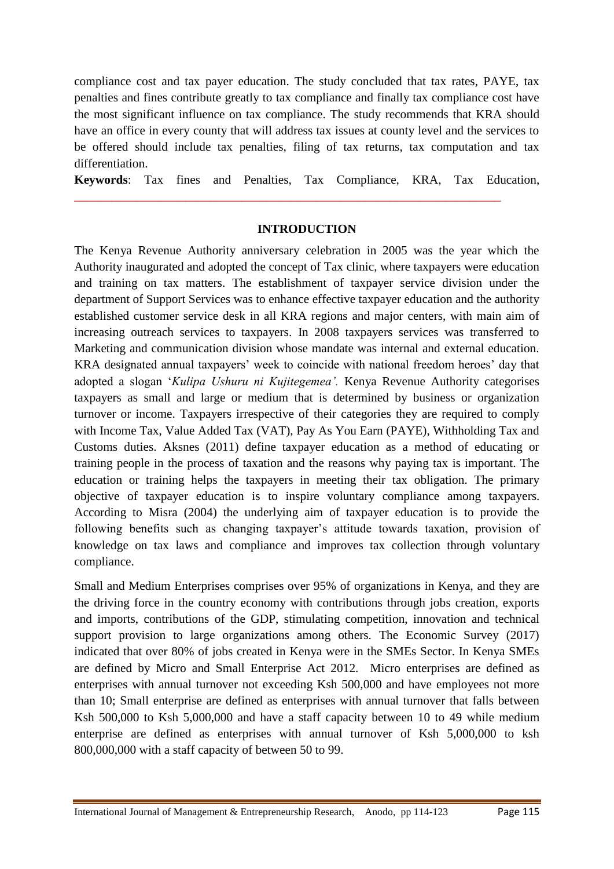compliance cost and tax payer education. The study concluded that tax rates, PAYE, tax penalties and fines contribute greatly to tax compliance and finally tax compliance cost have the most significant influence on tax compliance. The study recommends that KRA should have an office in every county that will address tax issues at county level and the services to be offered should include tax penalties, filing of tax returns, tax computation and tax differentiation.

**Keywords**: Tax fines and Penalties, Tax Compliance, KRA, Tax Education,

\_\_\_\_\_\_\_\_\_\_\_\_\_\_\_\_\_\_\_\_\_\_\_\_\_\_\_\_\_\_\_\_\_\_\_\_\_\_\_\_\_\_\_\_\_\_\_\_\_\_\_\_\_\_\_\_\_\_\_\_\_\_\_\_\_\_\_\_\_

## **INTRODUCTION**

The Kenya Revenue Authority anniversary celebration in 2005 was the year which the Authority inaugurated and adopted the concept of Tax clinic, where taxpayers were education and training on tax matters. The establishment of taxpayer service division under the department of Support Services was to enhance effective taxpayer education and the authority established customer service desk in all KRA regions and major centers, with main aim of increasing outreach services to taxpayers. In 2008 taxpayers services was transferred to Marketing and communication division whose mandate was internal and external education. KRA designated annual taxpayers' week to coincide with national freedom heroes' day that adopted a slogan '*Kulipa Ushuru ni Kujitegemea'.* Kenya Revenue Authority categorises taxpayers as small and large or medium that is determined by business or organization turnover or income. Taxpayers irrespective of their categories they are required to comply with Income Tax, Value Added Tax (VAT), Pay As You Earn (PAYE), Withholding Tax and Customs duties. Aksnes (2011) define taxpayer education as a method of educating or training people in the process of taxation and the reasons why paying tax is important. The education or training helps the taxpayers in meeting their tax obligation. The primary objective of taxpayer education is to inspire voluntary compliance among taxpayers. According to Misra (2004) the underlying aim of taxpayer education is to provide the following benefits such as changing taxpayer's attitude towards taxation, provision of knowledge on tax laws and compliance and improves tax collection through voluntary compliance.

Small and Medium Enterprises comprises over 95% of organizations in Kenya, and they are the driving force in the country economy with contributions through jobs creation, exports and imports, contributions of the GDP, stimulating competition, innovation and technical support provision to large organizations among others. The Economic Survey (2017) indicated that over 80% of jobs created in Kenya were in the SMEs Sector. In Kenya SMEs are defined by Micro and Small Enterprise Act 2012. Micro enterprises are defined as enterprises with annual turnover not exceeding Ksh 500,000 and have employees not more than 10; Small enterprise are defined as enterprises with annual turnover that falls between Ksh 500,000 to Ksh 5,000,000 and have a staff capacity between 10 to 49 while medium enterprise are defined as enterprises with annual turnover of Ksh 5,000,000 to ksh 800,000,000 with a staff capacity of between 50 to 99.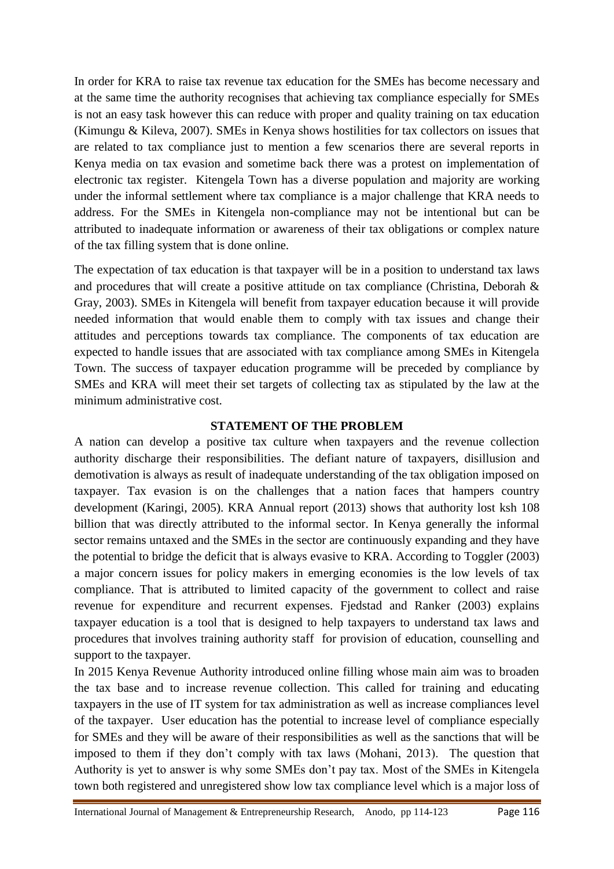In order for KRA to raise tax revenue tax education for the SMEs has become necessary and at the same time the authority recognises that achieving tax compliance especially for SMEs is not an easy task however this can reduce with proper and quality training on tax education (Kimungu & Kileva, 2007). SMEs in Kenya shows hostilities for tax collectors on issues that are related to tax compliance just to mention a few scenarios there are several reports in Kenya media on tax evasion and sometime back there was a protest on implementation of electronic tax register. Kitengela Town has a diverse population and majority are working under the informal settlement where tax compliance is a major challenge that KRA needs to address. For the SMEs in Kitengela non-compliance may not be intentional but can be attributed to inadequate information or awareness of their tax obligations or complex nature of the tax filling system that is done online.

The expectation of tax education is that taxpayer will be in a position to understand tax laws and procedures that will create a positive attitude on tax compliance (Christina, Deborah & Gray, 2003). SMEs in Kitengela will benefit from taxpayer education because it will provide needed information that would enable them to comply with tax issues and change their attitudes and perceptions towards tax compliance. The components of tax education are expected to handle issues that are associated with tax compliance among SMEs in Kitengela Town. The success of taxpayer education programme will be preceded by compliance by SMEs and KRA will meet their set targets of collecting tax as stipulated by the law at the minimum administrative cost.

## **STATEMENT OF THE PROBLEM**

A nation can develop a positive tax culture when taxpayers and the revenue collection authority discharge their responsibilities. The defiant nature of taxpayers, disillusion and demotivation is always as result of inadequate understanding of the tax obligation imposed on taxpayer. Tax evasion is on the challenges that a nation faces that hampers country development (Karingi, 2005). KRA Annual report (2013) shows that authority lost ksh 108 billion that was directly attributed to the informal sector. In Kenya generally the informal sector remains untaxed and the SMEs in the sector are continuously expanding and they have the potential to bridge the deficit that is always evasive to KRA. According to Toggler (2003) a major concern issues for policy makers in emerging economies is the low levels of tax compliance. That is attributed to limited capacity of the government to collect and raise revenue for expenditure and recurrent expenses. Fjedstad and Ranker (2003) explains taxpayer education is a tool that is designed to help taxpayers to understand tax laws and procedures that involves training authority staff for provision of education, counselling and support to the taxpayer.

In 2015 Kenya Revenue Authority introduced online filling whose main aim was to broaden the tax base and to increase revenue collection. This called for training and educating taxpayers in the use of IT system for tax administration as well as increase compliances level of the taxpayer. User education has the potential to increase level of compliance especially for SMEs and they will be aware of their responsibilities as well as the sanctions that will be imposed to them if they don't comply with tax laws (Mohani, 2013). The question that Authority is yet to answer is why some SMEs don't pay tax. Most of the SMEs in Kitengela town both registered and unregistered show low tax compliance level which is a major loss of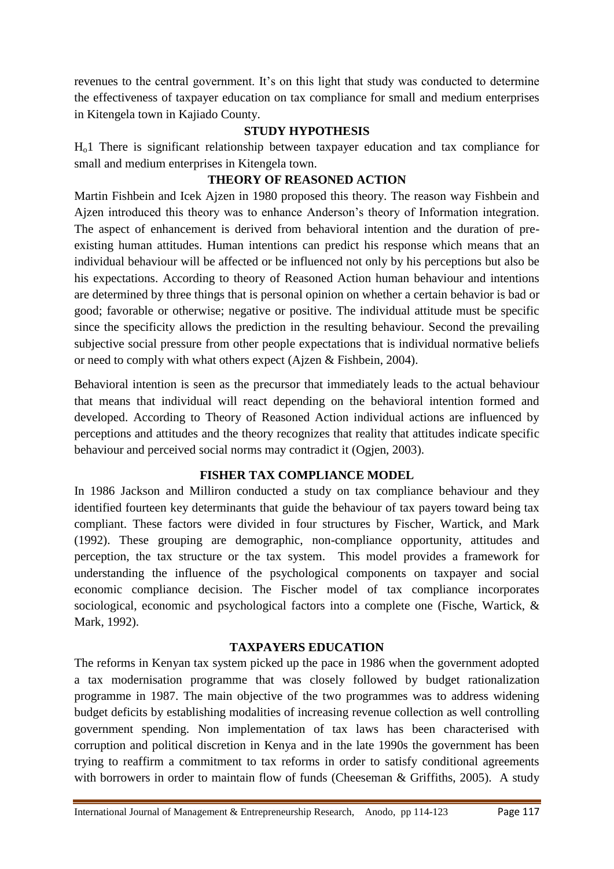revenues to the central government. It's on this light that study was conducted to determine the effectiveness of taxpayer education on tax compliance for small and medium enterprises in Kitengela town in Kajiado County.

## **STUDY HYPOTHESIS**

Ho1 There is significant relationship between taxpayer education and tax compliance for small and medium enterprises in Kitengela town.

# **THEORY OF REASONED ACTION**

Martin Fishbein and Icek Ajzen in 1980 proposed this theory. The reason way Fishbein and Ajzen introduced this theory was to enhance Anderson's theory of Information integration. The aspect of enhancement is derived from behavioral intention and the duration of preexisting human attitudes. Human intentions can predict his response which means that an individual behaviour will be affected or be influenced not only by his perceptions but also be his expectations. According to theory of Reasoned Action human behaviour and intentions are determined by three things that is personal opinion on whether a certain behavior is bad or good; favorable or otherwise; negative or positive. The individual attitude must be specific since the specificity allows the prediction in the resulting behaviour. Second the prevailing subjective social pressure from other people expectations that is individual normative beliefs or need to comply with what others expect (Ajzen & Fishbein, 2004).

Behavioral intention is seen as the precursor that immediately leads to the actual behaviour that means that individual will react depending on the behavioral intention formed and developed. According to Theory of Reasoned Action individual actions are influenced by perceptions and attitudes and the theory recognizes that reality that attitudes indicate specific behaviour and perceived social norms may contradict it (Ogjen, 2003).

## **FISHER TAX COMPLIANCE MODEL**

In 1986 Jackson and Milliron conducted a study on tax compliance behaviour and they identified fourteen key determinants that guide the behaviour of tax payers toward being tax compliant. These factors were divided in four structures by Fischer, Wartick, and Mark (1992). These grouping are demographic, non-compliance opportunity, attitudes and perception, the tax structure or the tax system. This model provides a framework for understanding the influence of the psychological components on taxpayer and social economic compliance decision. The Fischer model of tax compliance incorporates sociological, economic and psychological factors into a complete one (Fische, Wartick, & Mark, 1992).

## **TAXPAYERS EDUCATION**

The reforms in Kenyan tax system picked up the pace in 1986 when the government adopted a tax modernisation programme that was closely followed by budget rationalization programme in 1987. The main objective of the two programmes was to address widening budget deficits by establishing modalities of increasing revenue collection as well controlling government spending. Non implementation of tax laws has been characterised with corruption and political discretion in Kenya and in the late 1990s the government has been trying to reaffirm a commitment to tax reforms in order to satisfy conditional agreements with borrowers in order to maintain flow of funds (Cheeseman & Griffiths, 2005). A study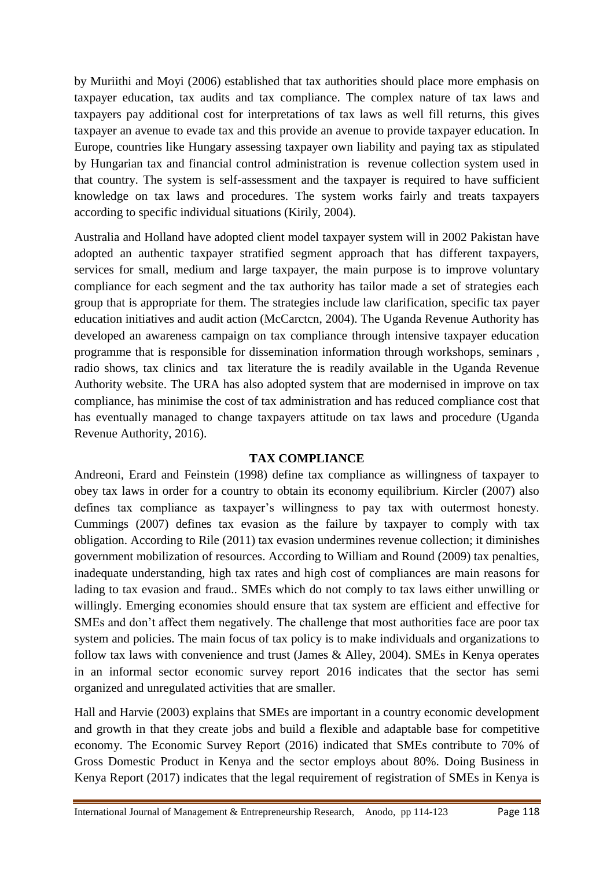by Muriithi and Moyi (2006) established that tax authorities should place more emphasis on taxpayer education, tax audits and tax compliance. The complex nature of tax laws and taxpayers pay additional cost for interpretations of tax laws as well fill returns, this gives taxpayer an avenue to evade tax and this provide an avenue to provide taxpayer education. In Europe, countries like Hungary assessing taxpayer own liability and paying tax as stipulated by Hungarian tax and financial control administration is revenue collection system used in that country. The system is self-assessment and the taxpayer is required to have sufficient knowledge on tax laws and procedures. The system works fairly and treats taxpayers according to specific individual situations (Kirily, 2004).

Australia and Holland have adopted client model taxpayer system will in 2002 Pakistan have adopted an authentic taxpayer stratified segment approach that has different taxpayers, services for small, medium and large taxpayer, the main purpose is to improve voluntary compliance for each segment and the tax authority has tailor made a set of strategies each group that is appropriate for them. The strategies include law clarification, specific tax payer education initiatives and audit action (McCarctcn, 2004). The Uganda Revenue Authority has developed an awareness campaign on tax compliance through intensive taxpayer education programme that is responsible for dissemination information through workshops, seminars , radio shows, tax clinics and tax literature the is readily available in the Uganda Revenue Authority website. The URA has also adopted system that are modernised in improve on tax compliance, has minimise the cost of tax administration and has reduced compliance cost that has eventually managed to change taxpayers attitude on tax laws and procedure (Uganda Revenue Authority, 2016).

## **TAX COMPLIANCE**

Andreoni, Erard and Feinstein (1998) define tax compliance as willingness of taxpayer to obey tax laws in order for a country to obtain its economy equilibrium. Kircler (2007) also defines tax compliance as taxpayer's willingness to pay tax with outermost honesty. Cummings (2007) defines tax evasion as the failure by taxpayer to comply with tax obligation. According to Rile (2011) tax evasion undermines revenue collection; it diminishes government mobilization of resources. According to William and Round (2009) tax penalties, inadequate understanding, high tax rates and high cost of compliances are main reasons for lading to tax evasion and fraud.. SMEs which do not comply to tax laws either unwilling or willingly. Emerging economies should ensure that tax system are efficient and effective for SMEs and don't affect them negatively. The challenge that most authorities face are poor tax system and policies. The main focus of tax policy is to make individuals and organizations to follow tax laws with convenience and trust (James & Alley, 2004). SMEs in Kenya operates in an informal sector economic survey report 2016 indicates that the sector has semi organized and unregulated activities that are smaller.

Hall and Harvie (2003) explains that SMEs are important in a country economic development and growth in that they create jobs and build a flexible and adaptable base for competitive economy. The Economic Survey Report (2016) indicated that SMEs contribute to 70% of Gross Domestic Product in Kenya and the sector employs about 80%. Doing Business in Kenya Report (2017) indicates that the legal requirement of registration of SMEs in Kenya is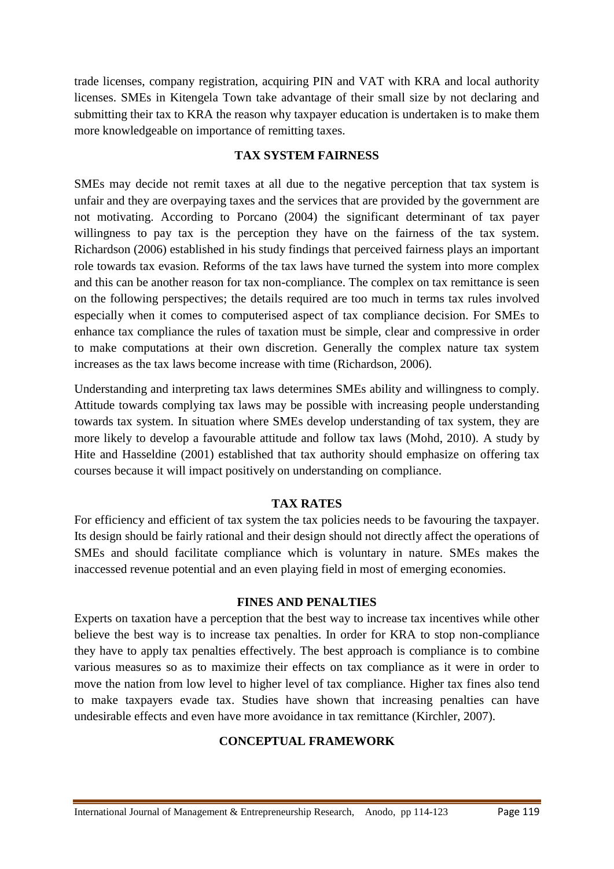trade licenses, company registration, acquiring PIN and VAT with KRA and local authority licenses. SMEs in Kitengela Town take advantage of their small size by not declaring and submitting their tax to KRA the reason why taxpayer education is undertaken is to make them more knowledgeable on importance of remitting taxes.

## **TAX SYSTEM FAIRNESS**

SMEs may decide not remit taxes at all due to the negative perception that tax system is unfair and they are overpaying taxes and the services that are provided by the government are not motivating. According to Porcano (2004) the significant determinant of tax payer willingness to pay tax is the perception they have on the fairness of the tax system. Richardson (2006) established in his study findings that perceived fairness plays an important role towards tax evasion. Reforms of the tax laws have turned the system into more complex and this can be another reason for tax non-compliance. The complex on tax remittance is seen on the following perspectives; the details required are too much in terms tax rules involved especially when it comes to computerised aspect of tax compliance decision. For SMEs to enhance tax compliance the rules of taxation must be simple, clear and compressive in order to make computations at their own discretion. Generally the complex nature tax system increases as the tax laws become increase with time (Richardson, 2006).

Understanding and interpreting tax laws determines SMEs ability and willingness to comply. Attitude towards complying tax laws may be possible with increasing people understanding towards tax system. In situation where SMEs develop understanding of tax system, they are more likely to develop a favourable attitude and follow tax laws (Mohd, 2010). A study by Hite and Hasseldine (2001) established that tax authority should emphasize on offering tax courses because it will impact positively on understanding on compliance.

## **TAX RATES**

For efficiency and efficient of tax system the tax policies needs to be favouring the taxpayer. Its design should be fairly rational and their design should not directly affect the operations of SMEs and should facilitate compliance which is voluntary in nature. SMEs makes the inaccessed revenue potential and an even playing field in most of emerging economies.

#### **FINES AND PENALTIES**

Experts on taxation have a perception that the best way to increase tax incentives while other believe the best way is to increase tax penalties. In order for KRA to stop non-compliance they have to apply tax penalties effectively. The best approach is compliance is to combine various measures so as to maximize their effects on tax compliance as it were in order to move the nation from low level to higher level of tax compliance. Higher tax fines also tend to make taxpayers evade tax. Studies have shown that increasing penalties can have undesirable effects and even have more avoidance in tax remittance (Kirchler, 2007).

## **CONCEPTUAL FRAMEWORK**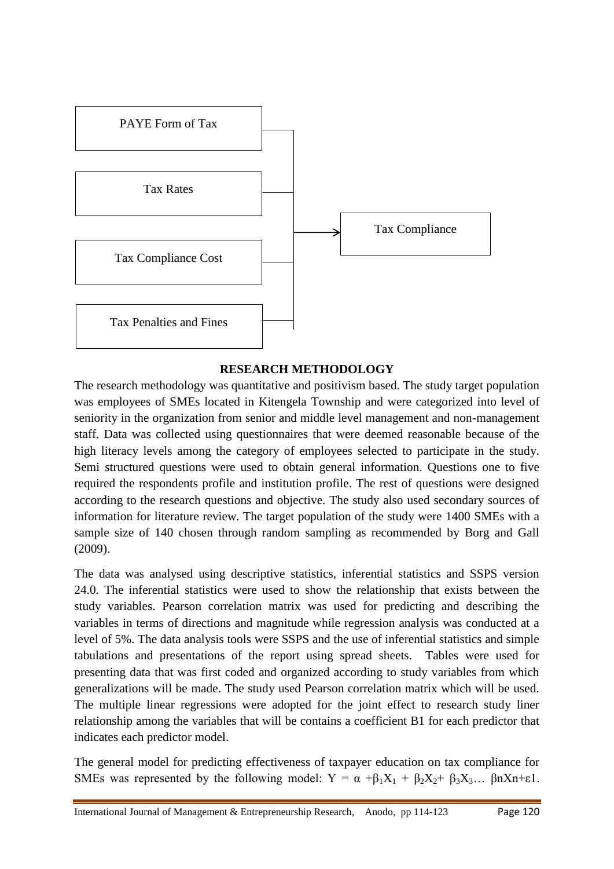

#### **RESEARCH METHODOLOGY**

The research methodology was quantitative and positivism based. The study target population was employees of SMEs located in Kitengela Township and were categorized into level of seniority in the organization from senior and middle level management and non-management staff. Data was collected using questionnaires that were deemed reasonable because of the high literacy levels among the category of employees selected to participate in the study. Semi structured questions were used to obtain general information. Questions one to five required the respondents profile and institution profile. The rest of questions were designed according to the research questions and objective. The study also used secondary sources of information for literature review. The target population of the study were 1400 SMEs with a sample size of 140 chosen through random sampling as recommended by Borg and Gall (2009).

The data was analysed using descriptive statistics, inferential statistics and SSPS version 24.0. The inferential statistics were used to show the relationship that exists between the study variables. Pearson correlation matrix was used for predicting and describing the variables in terms of directions and magnitude while regression analysis was conducted at a level of 5%. The data analysis tools were SSPS and the use of inferential statistics and simple tabulations and presentations of the report using spread sheets. Tables were used for presenting data that was first coded and organized according to study variables from which generalizations will be made. The study used Pearson correlation matrix which will be used. The multiple linear regressions were adopted for the joint effect to research study liner relationship among the variables that will be contains a coefficient B1 for each predictor that indicates each predictor model.

The general model for predicting effectiveness of taxpayer education on tax compliance for SMEs was represented by the following model:  $Y = \alpha + \beta_1 X_1 + \beta_2 X_2 + \beta_3 X_3...$   $\beta_n X_n + \epsilon 1$ .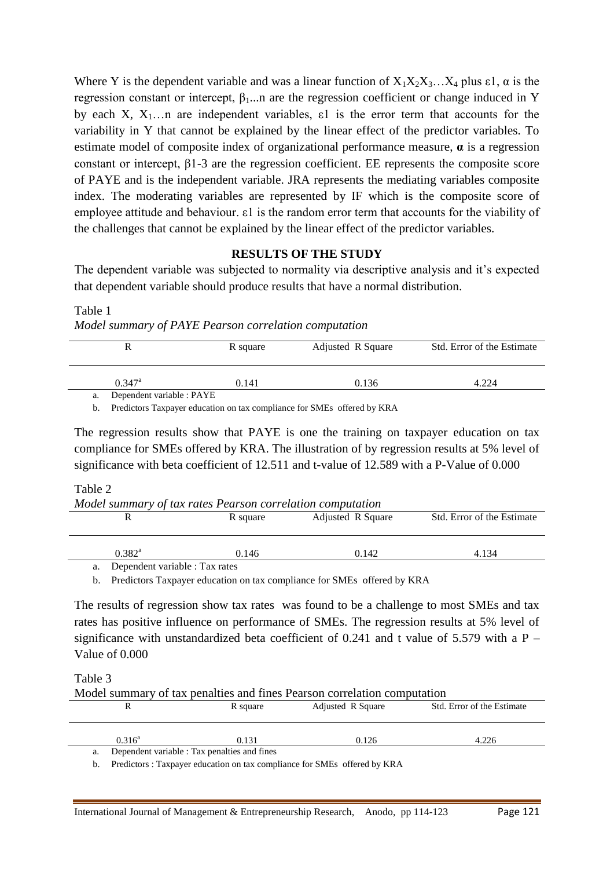Where Y is the dependent variable and was a linear function of  $X_1X_2X_3...X_4$  plus  $\varepsilon_1$ ,  $\alpha$  is the regression constant or intercept,  $β$ <sub>1</sub>...n are the regression coefficient or change induced in Y by each X,  $X_1$ …n are independent variables,  $\varepsilon$ 1 is the error term that accounts for the variability in Y that cannot be explained by the linear effect of the predictor variables. To estimate model of composite index of organizational performance measure, **α** is a regression constant or intercept, β1-3 are the regression coefficient. EE represents the composite score of PAYE and is the independent variable. JRA represents the mediating variables composite index. The moderating variables are represented by IF which is the composite score of employee attitude and behaviour. ε1 is the random error term that accounts for the viability of the challenges that cannot be explained by the linear effect of the predictor variables.

## **RESULTS OF THE STUDY**

The dependent variable was subjected to normality via descriptive analysis and it's expected that dependent variable should produce results that have a normal distribution.

Table 1

*Model summary of PAYE Pearson correlation computation* 

|                                 | R square | Adjusted R Square | Std. Error of the Estimate |  |
|---------------------------------|----------|-------------------|----------------------------|--|
| $0.347^{\rm a}$                 | 0.141    | 0.136             | 4.224                      |  |
| Dependent variable : PAYE<br>a. |          |                   |                            |  |

b. Predictors Taxpayer education on tax compliance for SMEs offered by KRA

The regression results show that PAYE is one the training on taxpayer education on tax compliance for SMEs offered by KRA. The illustration of by regression results at 5% level of significance with beta coefficient of 12.511 and t-value of 12.589 with a P-Value of 0.000

#### Table 2

| Model summary of tax rates Pearson correlation computation |          |                   |                            |  |
|------------------------------------------------------------|----------|-------------------|----------------------------|--|
|                                                            | R square | Adjusted R Square | Std. Error of the Estimate |  |
|                                                            |          |                   |                            |  |
|                                                            |          |                   |                            |  |
| $0.382^{\rm a}$                                            | 0.146    | 0.142             | 4.134                      |  |
| Dependent variable : Tax rates<br>a.                       |          |                   |                            |  |

b. Predictors Taxpayer education on tax compliance for SMEs offered by KRA

The results of regression show tax rates was found to be a challenge to most SMEs and tax rates has positive influence on performance of SMEs. The regression results at 5% level of significance with unstandardized beta coefficient of 0.241 and t value of 5.579 with a  $P -$ Value of 0.000

Table 3

Model summary of tax penalties and fines Pearson correlation computation

|           | R square                                     | Adjusted R Square | Std. Error of the Estimate |  |
|-----------|----------------------------------------------|-------------------|----------------------------|--|
| $0.316^a$ | 0.131                                        | 0.126             | 4.226                      |  |
| a.        | Dependent variable : Tax penalties and fines |                   |                            |  |

b. Predictors : Taxpayer education on tax compliance for SMEs offered by KRA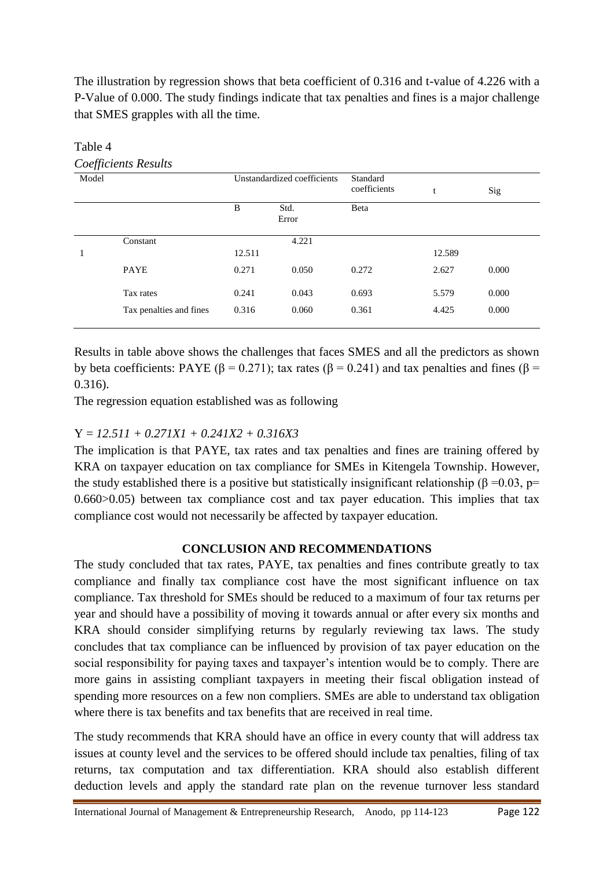The illustration by regression shows that beta coefficient of 0.316 and t-value of 4.226 with a P-Value of 0.000. The study findings indicate that tax penalties and fines is a major challenge that SMES grapples with all the time.

| Model |                         | Unstandardized coefficients |               | Standard<br>coefficients | t      | Sig   |
|-------|-------------------------|-----------------------------|---------------|--------------------------|--------|-------|
|       |                         | B                           | Std.<br>Error | Beta                     |        |       |
|       | Constant                |                             | 4.221         |                          |        |       |
| 1     |                         | 12.511                      |               |                          | 12.589 |       |
|       | <b>PAYE</b>             | 0.271                       | 0.050         | 0.272                    | 2.627  | 0.000 |
|       | Tax rates               | 0.241                       | 0.043         | 0.693                    | 5.579  | 0.000 |
|       | Tax penalties and fines | 0.316                       | 0.060         | 0.361                    | 4.425  | 0.000 |

Table 4 *Coefficients Results* 

Results in table above shows the challenges that faces SMES and all the predictors as shown by beta coefficients: PAYE (β = 0.271); tax rates (β = 0.241) and tax penalties and fines (β = 0.316).

The regression equation established was as following

## Y = *12.511 + 0.271X1 + 0.241X2 + 0.316X3*

The implication is that PAYE, tax rates and tax penalties and fines are training offered by KRA on taxpayer education on tax compliance for SMEs in Kitengela Township. However, the study established there is a positive but statistically insignificant relationship ( $\beta = 0.03$ , p= 0.660>0.05) between tax compliance cost and tax payer education. This implies that tax compliance cost would not necessarily be affected by taxpayer education.

## **CONCLUSION AND RECOMMENDATIONS**

The study concluded that tax rates, PAYE, tax penalties and fines contribute greatly to tax compliance and finally tax compliance cost have the most significant influence on tax compliance. Tax threshold for SMEs should be reduced to a maximum of four tax returns per year and should have a possibility of moving it towards annual or after every six months and KRA should consider simplifying returns by regularly reviewing tax laws. The study concludes that tax compliance can be influenced by provision of tax payer education on the social responsibility for paying taxes and taxpayer's intention would be to comply. There are more gains in assisting compliant taxpayers in meeting their fiscal obligation instead of spending more resources on a few non compliers. SMEs are able to understand tax obligation where there is tax benefits and tax benefits that are received in real time.

The study recommends that KRA should have an office in every county that will address tax issues at county level and the services to be offered should include tax penalties, filing of tax returns, tax computation and tax differentiation. KRA should also establish different deduction levels and apply the standard rate plan on the revenue turnover less standard